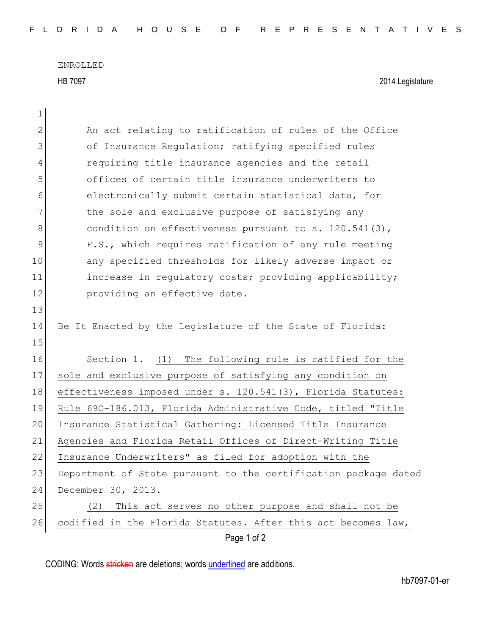ENROLLED

HB 7097 2014 Legislature

| $\mathbf 1$   |                                                                 |
|---------------|-----------------------------------------------------------------|
| $\mathbf{2}$  | An act relating to ratification of rules of the Office          |
| 3             | of Insurance Regulation; ratifying specified rules              |
| 4             | requiring title insurance agencies and the retail               |
| 5             | offices of certain title insurance underwriters to              |
| 6             | electronically submit certain statistical data, for             |
| 7             | the sole and exclusive purpose of satisfying any                |
| 8             | condition on effectiveness pursuant to s. $120.541(3)$ ,        |
| $\mathcal{G}$ | F.S., which requires ratification of any rule meeting           |
| 10            | any specified thresholds for likely adverse impact or           |
| 11            | increase in regulatory costs; providing applicability;          |
| 12            | providing an effective date.                                    |
| 13            |                                                                 |
| 14            | Be It Enacted by the Legislature of the State of Florida:       |
| 15            |                                                                 |
| 16            | Section 1. (1) The following rule is ratified for the           |
| 17            | sole and exclusive purpose of satisfying any condition on       |
| 18            | effectiveness imposed under s. 120.541(3), Florida Statutes:    |
| 19            | Rule 690-186.013, Florida Administrative Code, titled "Title    |
| 20            | Insurance Statistical Gathering: Licensed Title Insurance       |
| 21            | Agencies and Florida Retail Offices of Direct-Writing Title     |
| 22            | Insurance Underwriters" as filed for adoption with the          |
| 23            | Department of State pursuant to the certification package dated |
| 24            | December 30, 2013.                                              |
| 25            | This act serves no other purpose and shall not be<br>(2)        |
| 26            | codified in the Florida Statutes. After this act becomes law,   |
|               | Page 1 of 2                                                     |

CODING: Words stricken are deletions; words underlined are additions.